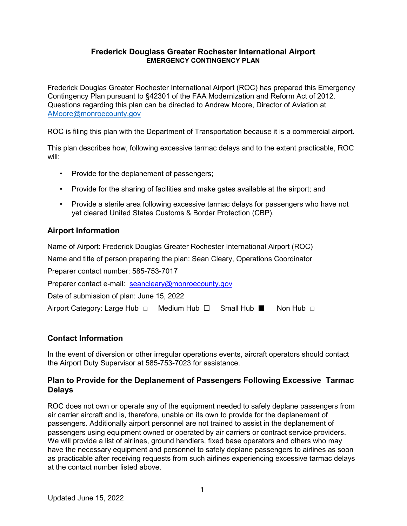#### Frederick Douglass Greater Rochester International Airport EMERGENCY CONTINGENCY PLAN

Frederick Douglas Greater Rochester International Airport (ROC) has prepared this Emergency Contingency Plan pursuant to §42301 of the FAA Modernization and Reform Act of 2012. Questions regarding this plan can be directed to Andrew Moore, Director of Aviation at AMoore@monroecounty.gov

ROC is filing this plan with the Department of Transportation because it is a commercial airport.

This plan describes how, following excessive tarmac delays and to the extent practicable, ROC will:

- Provide for the deplanement of passengers;
- Provide for the sharing of facilities and make gates available at the airport; and
- Provide a sterile area following excessive tarmac delays for passengers who have not yet cleared United States Customs & Border Protection (CBP).

## Airport Information

Name of Airport: Frederick Douglas Greater Rochester International Airport (ROC)

Name and title of person preparing the plan: Sean Cleary, Operations Coordinator

Preparer contact number: 585-753-7017

Preparer contact e-mail: seancleary@monroecounty.gov

Date of submission of plan: June 15, 2022

| Airport Category: Large Hub □ | Medium Hub $\Box$ Small Hub $\blacksquare$ |  | Non Hub $\Box$ |
|-------------------------------|--------------------------------------------|--|----------------|
|-------------------------------|--------------------------------------------|--|----------------|

## Contact Information

In the event of diversion or other irregular operations events, aircraft operators should contact the Airport Duty Supervisor at 585-753-7023 for assistance.

#### Plan to Provide for the Deplanement of Passengers Following Excessive Tarmac Delays

ROC does not own or operate any of the equipment needed to safely deplane passengers from air carrier aircraft and is, therefore, unable on its own to provide for the deplanement of passengers. Additionally airport personnel are not trained to assist in the deplanement of passengers using equipment owned or operated by air carriers or contract service providers. We will provide a list of airlines, ground handlers, fixed base operators and others who may have the necessary equipment and personnel to safely deplane passengers to airlines as soon as practicable after receiving requests from such airlines experiencing excessive tarmac delays at the contact number listed above.